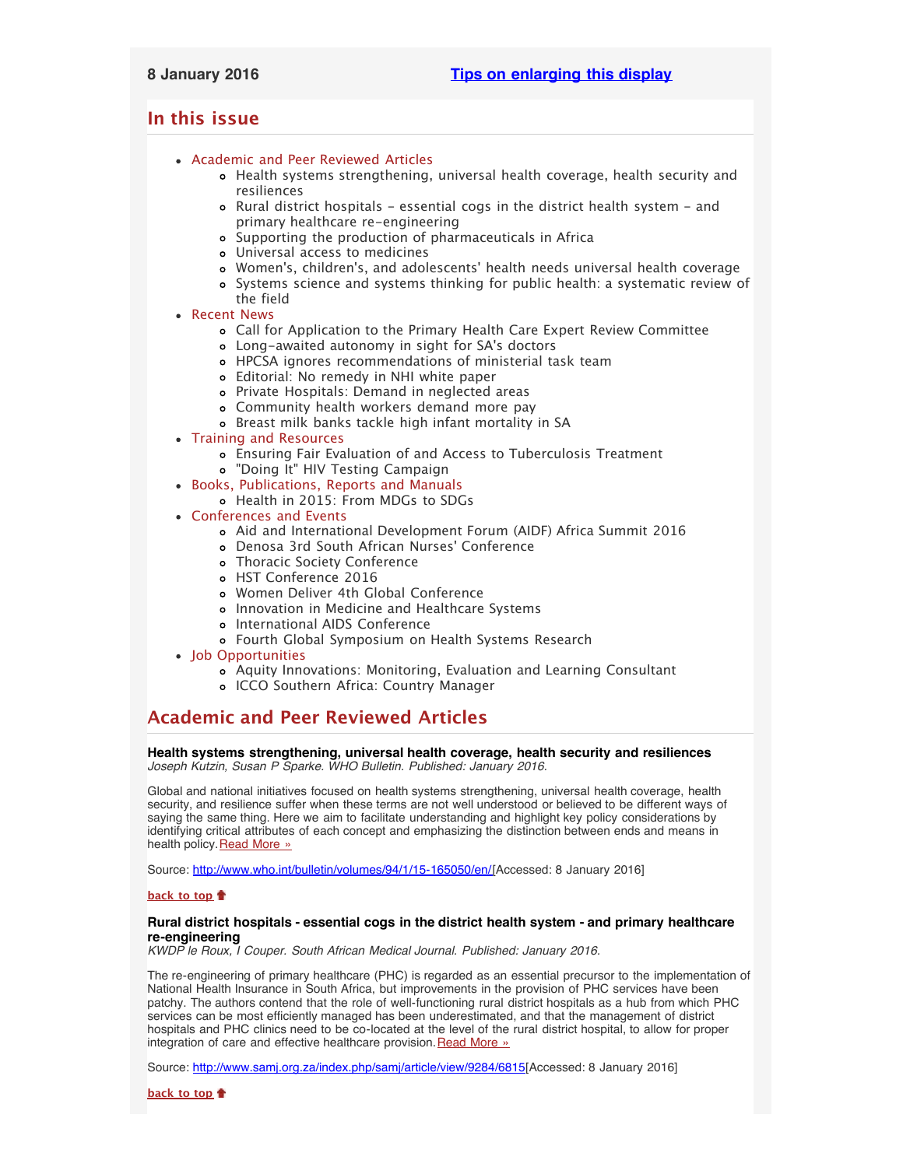# <span id="page-0-2"></span><span id="page-0-1"></span>**In this issue**

- [Academic and Peer Reviewed Articles](#page-0-0)
	- [Health systems strengthening, universal health coverage, health security and](#page-1-0) [resiliences](#page-1-0)
	- [Rural district hospitals essential cogs in the district health system and](#page-1-0) [primary healthcare re-engineering](#page-1-0)
	- [Supporting the production of pharmaceuticals in Africa](#page-1-0)
	- [Universal access to medicines](#page-1-0)
	- Women['s, children's, and adolescents' health needs universal health coverage](#page-1-0)
	- [Systems science and systems thinking for public health: a systematic review of](#page-1-1) [the field](#page-1-1)
- [Recent News](#page-1-2)
	- [Call for Application to the Primary Health Care Expert Review Committee](#page-1-3)
	- [Long-awaited autonomy in sight for SA](#page-1-3)'s doctors
	- [HPCSA ignores recommendations of ministerial task team](#page-2-0)
	- [Editorial: No remedy in NHI white paper](#page-2-1)
	- [Private Hospitals: Demand in neglected areas](#page-2-2)
	- [Community health workers demand more pay](#page-2-3)
	- [Breast milk banks tackle high infant mortality in SA](#page-2-2)
- [Training and Resources](#page-4-0)
	- [Ensuring Fair Evaluation of and Access to Tuberculosis Treatment](#page-2-4)
	- ["Doing It" HIV Testing Campaign](#page-2-4)
- [Books, Publications, Reports and Manuals](#page-0-1)
	- [Health in 2015: From MDGs to SDGs](#page-3-0)
- [Conferences and Events](#page-3-1)
	- [Aid and International Development Forum \(AIDF\) Africa Summit 2016](#page-0-1)
	- [Denosa 3rd South African Nurses](#page-4-1)' Conference
	- [Thoracic Society Conference](#page-4-1)
	- [HST Conference 2016](#page-4-1)
	- [Women Deliver 4th Global Conference](#page-4-1)
	- o [Innovation in Medicine and Healthcare Systems](#page-4-1)
	- o [International AIDS Conference](#page-4-1)
	- [Fourth Global Symposium on Health Systems Research](#page-0-1)
- [Job Opportunities](#page-0-1)
	- [Aquity Innovations: Monitoring, Evaluation and Learning Consultant](#page-4-2)
	- [ICCO Southern Africa: Country Manager](#page-4-3)

# <span id="page-0-0"></span>**Academic and Peer Reviewed Articles**

**Health systems strengthening, universal health coverage, health security and resiliences** *Joseph Kutzin, Susan P Sparke. WHO Bulletin. Published: January 2016.*

Global and national initiatives focused on health systems strengthening, universal health coverage, health security, and resilience suffer when these terms are not well understood or believed to be different ways of saying the same thing. Here we aim to facilitate understanding and highlight key policy considerations by identifying critical attributes of each concept and emphasizing the distinction between ends and means in health policy. [Read More »](http://www.who.int/bulletin/volumes/94/1/15-165050/en/)

Source: <http://www.who.int/bulletin/volumes/94/1/15-165050/en/>[Accessed: 8 January 2016]

# **[back to top](#page-0-2)**

## **Rural district hospitals - essential cogs in the district health system - and primary healthcare re-engineering**

*KWDP le Roux, I Couper. South African Medical Journal. Published: January 2016.*

The re-engineering of primary healthcare (PHC) is regarded as an essential precursor to the implementation of National Health Insurance in South Africa, but improvements in the provision of PHC services have been patchy. The authors contend that the role of well-functioning rural district hospitals as a hub from which PHC services can be most efficiently managed has been underestimated, and that the management of district hospitals and PHC clinics need to be co-located at the level of the rural district hospital, to allow for proper integration of care and effective healthcare provision. [Read More »](http://www.samj.org.za/index.php/samj/article/view/9284/6815)

Source: [http://www.samj.org.za/index.php/samj/article/view/9284/6815\[](http://www.samj.org.za/index.php/samj/article/view/9284/6815)Accessed: 8 January 2016]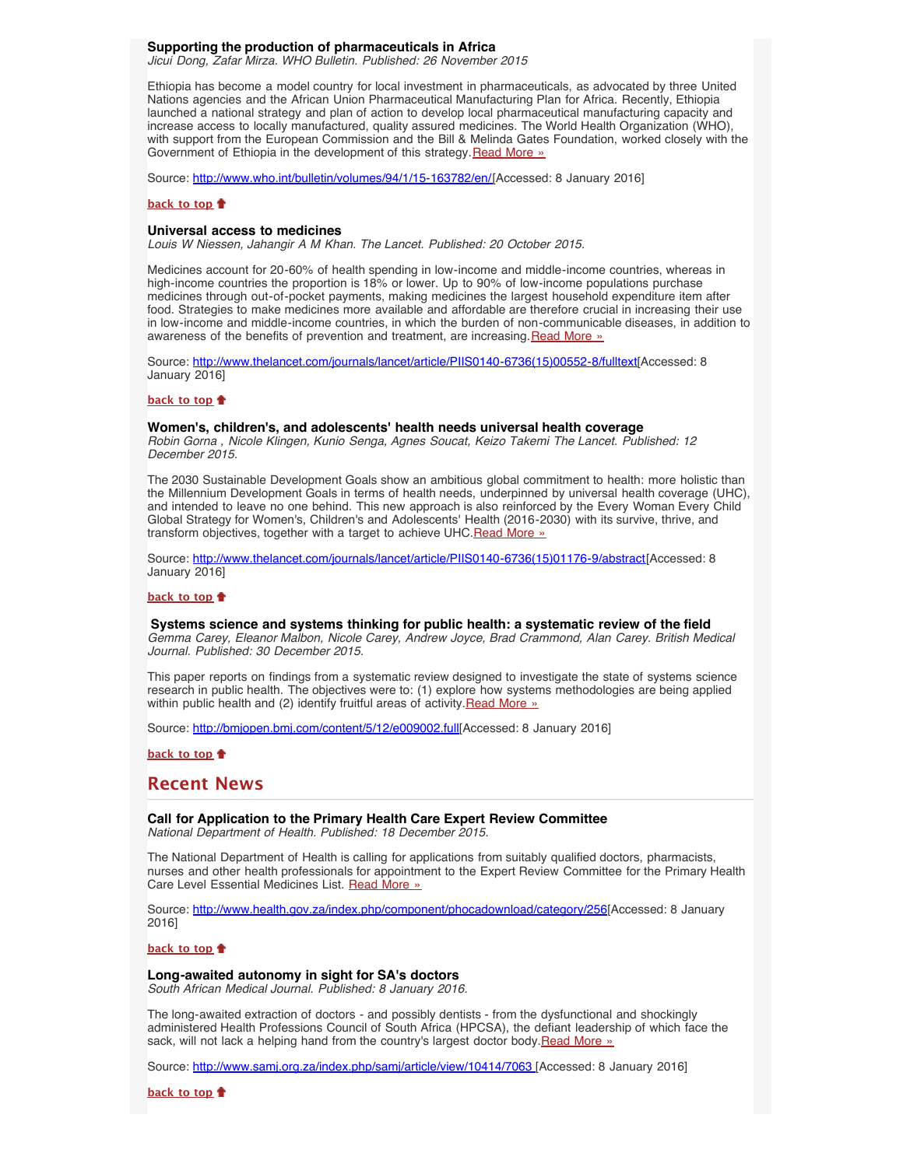# **Supporting the production of pharmaceuticals in Africa**

*Jicui Dong, Zafar Mirza. WHO Bulletin. Published: 26 November 2015*

Ethiopia has become a model country for local investment in pharmaceuticals, as advocated by three United Nations agencies and the African Union Pharmaceutical Manufacturing Plan for Africa. Recently, Ethiopia launched a national strategy and plan of action to develop local pharmaceutical manufacturing capacity and increase access to locally manufactured, quality assured medicines. The World Health Organization (WHO), with support from the European Commission and the Bill & Melinda Gates Foundation, worked closely with the Government of Ethiopia in the development of this strategy [Read More »](http://www.who.int/bulletin/volumes/94/1/15-163782/en/)

Source: <http://www.who.int/bulletin/volumes/94/1/15-163782/en/>[Accessed: 8 January 2016]

#### **[back to top](#page-0-2)**

### <span id="page-1-0"></span>**Universal access to medicines**

*Louis W Niessen, Jahangir A M Khan. The Lancet. Published: 20 October 2015.*

Medicines account for 20-60% of health spending in low-income and middle-income countries, whereas in high-income countries the proportion is 18% or lower. Up to 90% of low-income populations purchase medicines through out-of-pocket payments, making medicines the largest household expenditure item after food. Strategies to make medicines more available and affordable are therefore crucial in increasing their use in low-income and middle-income countries, in which the burden of non-communicable diseases, in addition to awareness of the benefits of prevention and treatment, are increasing. [Read More »](http://www.thelancet.com/journals/lancet/article/PIIS0140-6736(15)00552-8/fulltext)

Source: [http://www.thelancet.com/journals/lancet/article/PIIS0140-6736\(15\)00552-8/fulltext\[](http://www.thelancet.com/journals/lancet/article/PIIS0140-6736(15)00552-8/fulltext)Accessed: 8 January 2016]

## **[back to top](#page-0-2)**

### **Women's, children's, and adolescents' health needs universal health coverage**

*Robin Gorna , Nicole Klingen, Kunio Senga, Agnes Soucat, Keizo Takemi The Lancet. Published: 12 December 2015.*

The 2030 Sustainable Development Goals show an ambitious global commitment to health: more holistic than the Millennium Development Goals in terms of health needs, underpinned by universal health coverage (UHC), and intended to leave no one behind. This new approach is also reinforced by the Every Woman Every Child Global Strategy for Women's, Children's and Adolescents' Health (2016-2030) with its survive, thrive, and transform objectives, together with a target to achieve UHC. Read More »

Source: [http://www.thelancet.com/journals/lancet/article/PIIS0140-6736\(15\)01176-9/abstract\[](http://www.thelancet.com/journals/lancet/article/PIIS0140-6736(15)01176-9/abstract)Accessed: 8 January 2016]

#### **[back to top](#page-0-2)**

## <span id="page-1-1"></span> **Systems science and systems thinking for public health: a systematic review of the field**

*Gemma Carey, Eleanor Malbon, Nicole Carey, Andrew Joyce, Brad Crammond, Alan Carey. British Medical Journal. Published: 30 December 2015.*

This paper reports on findings from a systematic review designed to investigate the state of systems science research in public health. The objectives were to: (1) explore how systems methodologies are being applied within public health and (2) identify fruitful areas of activity. [Read More »](http://bmjopen.bmj.com/content/5/12/e009002.full)

Source: [http://bmjopen.bmj.com/content/5/12/e009002.full\[](http://bmjopen.bmj.com/content/5/12/e009002.full)Accessed: 8 January 2016]

**[back to top](#page-0-2)**

# <span id="page-1-2"></span>**Recent News**

**Call for Application to the Primary Health Care Expert Review Committee** *National Department of Health. Published: 18 December 2015.*

The National Department of Health is calling for applications from suitably qualified doctors, pharmacists, nurses and other health professionals for appointment to the Expert Review Committee for the Primary Health Care Level Essential Medicines List. [Read More »](http://www.health.gov.za/index.php/component/phocadownload/category/256)

Source: <http://www.health.gov.za/index.php/component/phocadownload/category/256>[Accessed: 8 January 2016]

#### **[back to top](#page-0-2)**

### <span id="page-1-3"></span>**Long-awaited autonomy in sight for SA's doctors**

*South African Medical Journal. Published: 8 January 2016.*

The long-awaited extraction of doctors - and possibly dentists - from the dysfunctional and shockingly administered Health Professions Council of South Africa (HPCSA), the defiant leadership of which face the sack, will not lack a helping hand from the country's largest doctor body. [Read More »](http://www.samj.org.za/index.php/samj/article/view/10414/7063)

Source: [http://www.samj.org.za/index.php/samj/article/view/10414/7063 \[](http://www.samj.org.za/index.php/samj/article/view/10414/7063)Accessed: 8 January 2016]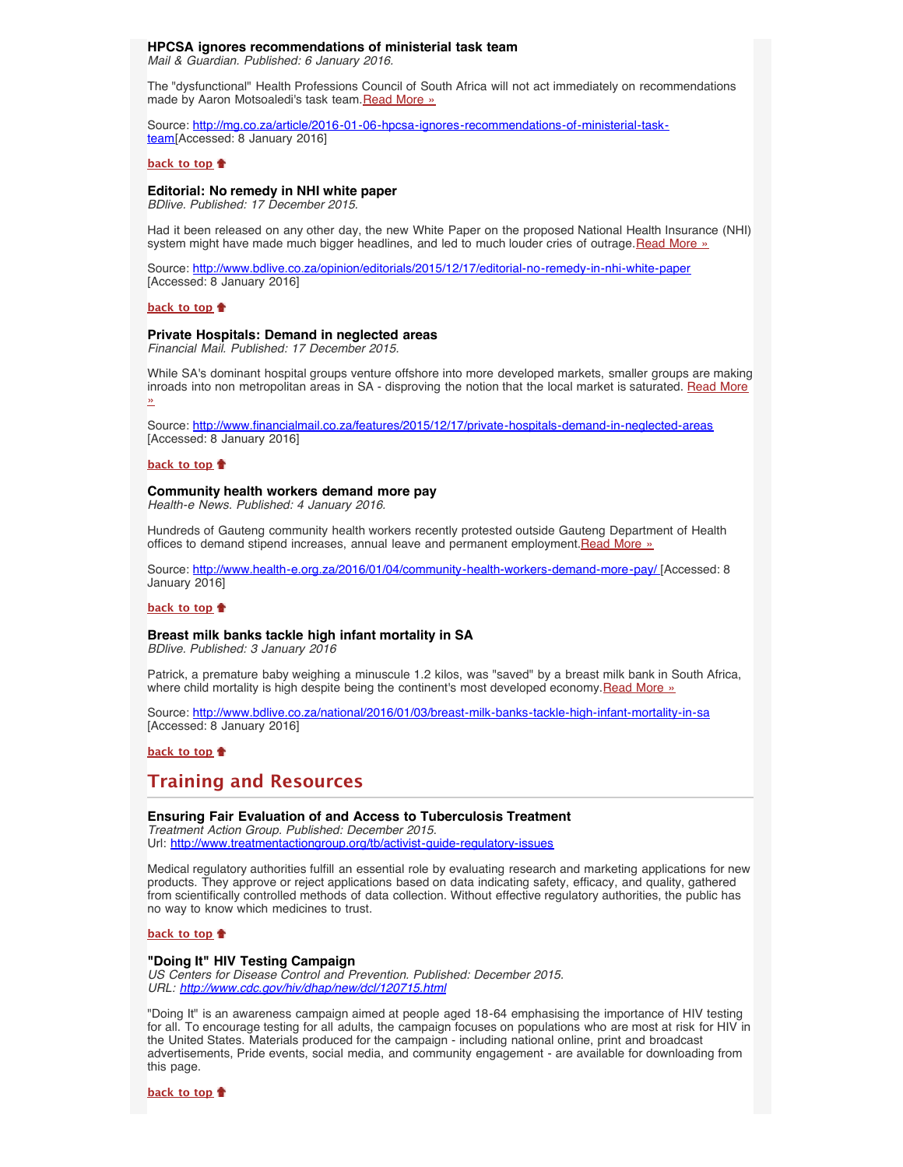# **HPCSA ignores recommendations of ministerial task team**

<span id="page-2-0"></span>*Mail & Guardian. Published: 6 January 2016.*

The "dysfunctional" Health Professions Council of South Africa will not act immediately on recommendations made by Aaron Motsoaledi's task team. [Read More »](http://www.hst.org.za/news/hpcsa-ignores-recommendations-ministerial-task-team)

Source: [http://mg.co.za/article/2016-01-06-hpcsa-ignores-recommendations-of-ministerial-task](http://mg.co.za/article/2016-01-06-hpcsa-ignores-recommendations-of-ministerial-task-team)[team\[](http://mg.co.za/article/2016-01-06-hpcsa-ignores-recommendations-of-ministerial-task-team)Accessed: 8 January 2016]

## **[back to top](#page-0-2)**

## <span id="page-2-1"></span>**Editorial: No remedy in NHI white paper**

*BDlive. Published: 17 December 2015.*

Had it been released on any other day, the new White Paper on the proposed National Health Insurance (NHI) system might have made much bigger headlines, and led to much louder cries of outrage. [Read More »](http://www.hst.org.za/news/editorial-no-remedy-nhi-white-paper)

Source: <http://www.bdlive.co.za/opinion/editorials/2015/12/17/editorial-no-remedy-in-nhi-white-paper> [Accessed: 8 January 2016]

## **[back to top](#page-0-2)**

## **Private Hospitals: Demand in neglected areas**

*Financial Mail. Published: 17 December 2015.*

While SA's dominant hospital groups venture offshore into more developed markets, smaller groups are making inroads into non metropolitan areas in SA - disproving the notion that the local market is saturated. [Read More](http://www.hst.org.za/news/private-hospitals-demand-neglected-areas) [»](http://www.hst.org.za/news/private-hospitals-demand-neglected-areas)

Source: <http://www.financialmail.co.za/features/2015/12/17/private-hospitals-demand-in-neglected-areas> [Accessed: 8 January 2016]

#### **[back to top](#page-0-2)**

#### <span id="page-2-3"></span>**Community health workers demand more pay**

*Health-e News. Published: 4 January 2016.*

Hundreds of Gauteng community health workers recently protested outside Gauteng Department of Health offices to demand stipend increases, annual leave and permanent employment. [Read More »](http://www.hst.org.za/news/community-health-workers-demand-more-pay)

Source: <http://www.health-e.org.za/2016/01/04/community-health-workers-demand-more-pay/>[Accessed: 8 January 2016]

#### **[back to top](#page-0-2)**

## <span id="page-2-2"></span>**Breast milk banks tackle high infant mortality in SA**

*BDlive. Published: 3 January 2016*

Patrick, a premature baby weighing a minuscule 1.2 kilos, was "saved" by a breast milk bank in South Africa, where child mortality is high despite being the continent's most developed economy. [Read More »](http://www.hst.org.za/news/breast-milk-banks-tackle-high-infant-mortality-sa)

Source: <http://www.bdlive.co.za/national/2016/01/03/breast-milk-banks-tackle-high-infant-mortality-in-sa> [Accessed: 8 January 2016]

## **[back to top](#page-0-2)**

# **Training and Resources**

## **Ensuring Fair Evaluation of and Access to Tuberculosis Treatment**

*Treatment Action Group. Published: December 2015.*  Url: <http://www.treatmentactiongroup.org/tb/activist-guide-regulatory-issues>

Medical regulatory authorities fulfill an essential role by evaluating research and marketing applications for new products. They approve or reject applications based on data indicating safety, efficacy, and quality, gathered from scientifically controlled methods of data collection. Without effective regulatory authorities, the public has no way to know which medicines to trust.

# **[back to top](#page-0-2)**

### <span id="page-2-4"></span>**"Doing It" HIV Testing Campaign**

*US Centers for Disease Control and Prevention. Published: December 2015. URL: <http://www.cdc.gov/hiv/dhap/new/dcl/120715.html>*

"Doing It" is an awareness campaign aimed at people aged 18-64 emphasising the importance of HIV testing for all. To encourage testing for all adults, the campaign focuses on populations who are most at risk for HIV in the United States. Materials produced for the campaign - including national online, print and broadcast advertisements, Pride events, social media, and community engagement - are available for downloading from this page.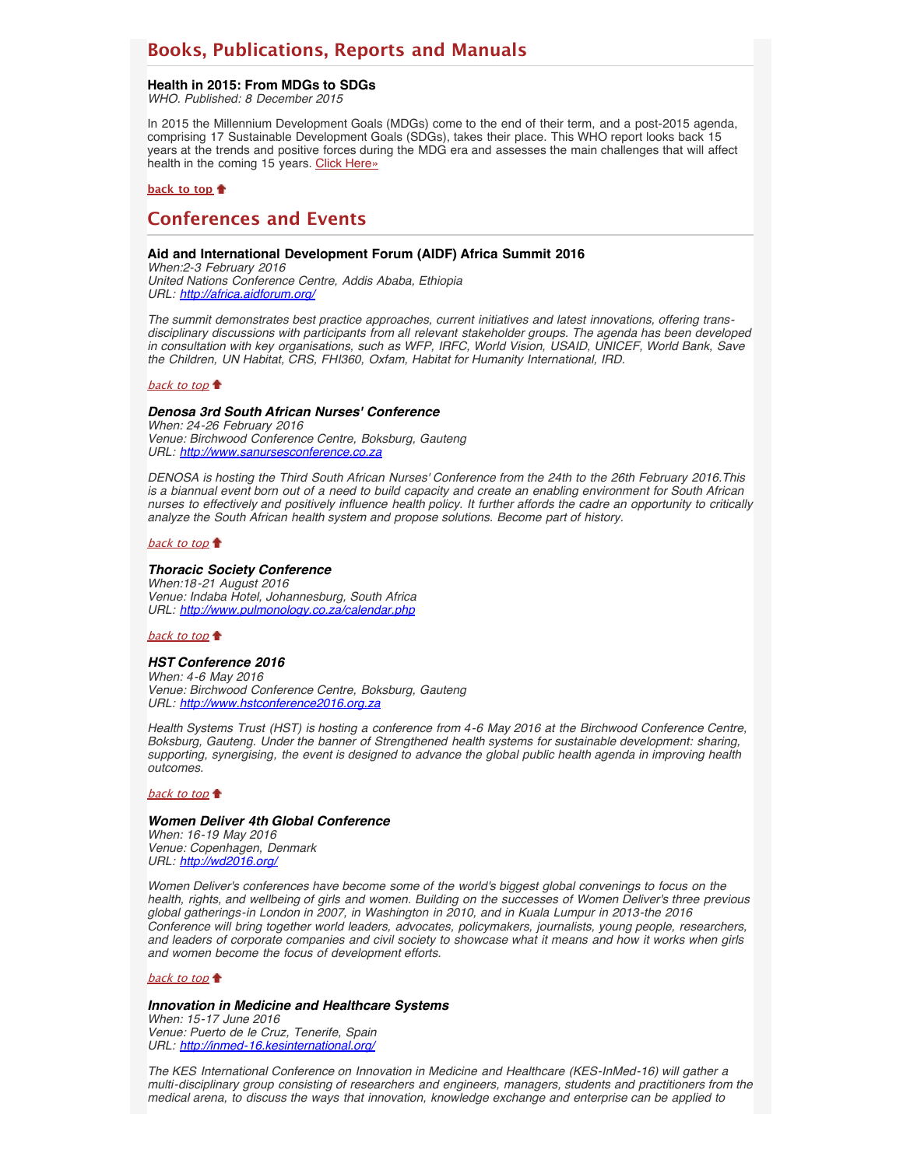# **Books, Publications, Reports and Manuals**

### <span id="page-3-0"></span>**Health in 2015: From MDGs to SDGs**

*WHO. Published: 8 December 2015*

In 2015 the Millennium Development Goals (MDGs) come to the end of their term, and a post-2015 agenda, comprising 17 Sustainable Development Goals (SDGs), takes their place. This WHO report looks back 15 years at the trends and positive forces during the MDG era and assesses the main challenges that will affect health in the coming 15 years. [Click Here»](http://www.hst.org.za/publications/health-2015-mdgs-sdgs)

## **[back to top](#page-0-2)**

# <span id="page-3-1"></span>**Conferences and Events**

## **Aid and International Development Forum (AIDF) Africa Summit 2016**

*When:2-3 February 2016 United Nations Conference Centre, Addis Ababa, Ethiopia URL: <http://africa.aidforum.org/>*

*The summit demonstrates best practice approaches, current initiatives and latest innovations, offering transdisciplinary discussions with participants from all relevant stakeholder groups. The agenda has been developed in consultation with key organisations, such as WFP, IRFC, World Vision, USAID, UNICEF, World Bank, Save the Children, UN Habitat, CRS, FHI360, Oxfam, Habitat for Humanity International, IRD.*

#### [back to top](#page-0-2)

## *Denosa 3rd South African Nurses' Conference*

*When: 24-26 February 2016 Venue: Birchwood Conference Centre, Boksburg, Gauteng URL: [http://www.sanursesconference.co.za](http://www.sanursesconference.co.za/)*

*DENOSA is hosting the Third South African Nurses' Conference from the 24th to the 26th February 2016.This is a biannual event born out of a need to build capacity and create an enabling environment for South African nurses to effectively and positively influence health policy. It further affords the cadre an opportunity to critically analyze the South African health system and propose solutions. Become part of history.*

#### [back to top](#page-0-2)

#### *Thoracic Society Conference*

*When:18-21 August 2016 Venue: Indaba Hotel, Johannesburg, South Africa URL: <http://www.pulmonology.co.za/calendar.php>*

## [back to top](#page-0-2)

#### *HST Conference 2016*

*When: 4-6 May 2016 Venue: Birchwood Conference Centre, Boksburg, Gauteng URL: [http://www.hstconference2016.org.za](http://www.hstconference2016.org.za/)*

*Health Systems Trust (HST) is hosting a conference from 4-6 May 2016 at the Birchwood Conference Centre, Boksburg, Gauteng. Under the banner of Strengthened health systems for sustainable development: sharing, supporting, synergising, the event is designed to advance the global public health agenda in improving health outcomes.*

## [back to top](#page-0-2)

#### *Women Deliver 4th Global Conference*

*When: 16-19 May 2016 Venue: Copenhagen, Denmark URL: <http://wd2016.org/>*

*Women Deliver's conferences have become some of the world's biggest global convenings to focus on the health, rights, and wellbeing of girls and women. Building on the successes of Women Deliver's three previous global gatherings-in London in 2007, in Washington in 2010, and in Kuala Lumpur in 2013-the 2016 Conference will bring together world leaders, advocates, policymakers, journalists, young people, researchers, and leaders of corporate companies and civil society to showcase what it means and how it works when girls and women become the focus of development efforts.*

#### [back to top](#page-0-2) **t**

#### *Innovation in Medicine and Healthcare Systems*

*When: 15-17 June 2016 Venue: Puerto de le Cruz, Tenerife, Spain URL: <http://inmed-16.kesinternational.org/>*

*The KES International Conference on Innovation in Medicine and Healthcare (KES-InMed-16) will gather a multi-disciplinary group consisting of researchers and engineers, managers, students and practitioners from the medical arena, to discuss the ways that innovation, knowledge exchange and enterprise can be applied to*